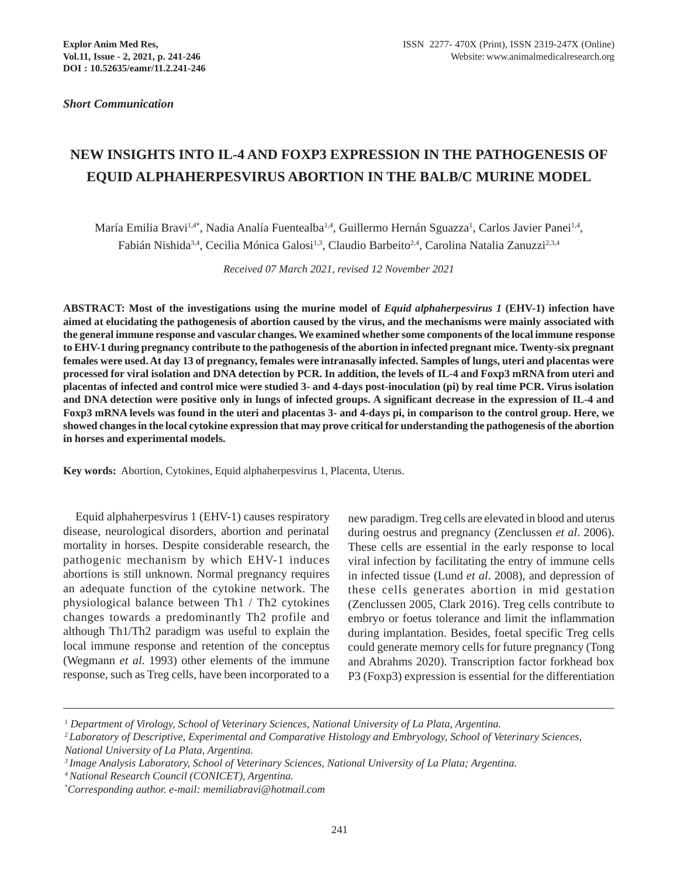*Short Communication*

# **NEW INSIGHTS INTO IL-4 AND FOXP3 EXPRESSION IN THE PATHOGENESIS OF EQUID ALPHAHERPESVIRUS ABORTION IN THE BALB/C MURINE MODEL**

María Emilia Bravi<sup>1,4\*</sup>, Nadia Analía Fuentealba<sup>1,4</sup>, Guillermo Hernán Sguazza<sup>1</sup>, Carlos Javier Panei<sup>1,4</sup>, Fabián Nishida<sup>3,4</sup>, Cecilia Mónica Galosi<sup>1,3</sup>, Claudio Barbeito<sup>2,4</sup>, Carolina Natalia Zanuzzi<sup>2,3,4</sup>

*Received 07 March 2021, revised 12 November 2021*

**ABSTRACT: Most of the investigations using the murine model of** *Equid alphaherpesvirus 1* **(EHV-1) infection have aimed at elucidating the pathogenesis of abortion caused by the virus, and the mechanisms were mainly associated with the general immune response and vascular changes. We examined whether some components of the local immune response to EHV-1 during pregnancy contribute to the pathogenesis of the abortion in infected pregnant mice. Twenty-six pregnant females were used. At day 13 of pregnancy, females were intranasally infected. Samples of lungs, uteri and placentas were processed for viral isolation and DNA detection by PCR. In addition, the levels of IL-4 and Foxp3 mRNA from uteri and placentas of infected and control mice were studied 3- and 4-days post-inoculation (pi) by real time PCR. Virus isolation and DNA detection were positive only in lungs of infected groups. A significant decrease in the expression of IL-4 and Foxp3 mRNA levels was found in the uteri and placentas 3- and 4-days pi, in comparison to the control group. Here, we showed changes in the local cytokine expression that may prove critical for understanding the pathogenesis of the abortion in horses and experimental models.**

**Key words:** Abortion, Cytokines, Equid alphaherpesvirus 1, Placenta, Uterus.

Equid alphaherpesvirus 1 (EHV-1) causes respiratory disease, neurological disorders, abortion and perinatal mortality in horses. Despite considerable research, the pathogenic mechanism by which EHV-1 induces abortions is still unknown. Normal pregnancy requires an adequate function of the cytokine network. The physiological balance between Th1 / Th2 cytokines changes towards a predominantly Th2 profile and although Th1/Th2 paradigm was useful to explain the local immune response and retention of the conceptus (Wegmann *et al.* 1993) other elements of the immune response, such as Treg cells, have been incorporated to a

new paradigm. Treg cells are elevated in blood and uterus during oestrus and pregnancy (Zenclussen *et al*. 2006). These cells are essential in the early response to local viral infection by facilitating the entry of immune cells in infected tissue (Lund *et al*. 2008), and depression of these cells generates abortion in mid gestation (Zenclussen 2005, Clark 2016). Treg cells contribute to embryo or foetus tolerance and limit the inflammation during implantation. Besides, foetal specific Treg cells could generate memory cells for future pregnancy (Tong and Abrahms 2020). Transcription factor forkhead box P3 (Foxp3) expression is essential for the differentiation

*<sup>1</sup> Department of Virology, School of Veterinary Sciences, National University of La Plata, Argentina.*

*<sup>2</sup> Laboratory of Descriptive, Experimental and Comparative Histology and Embryology, School of Veterinary Sciences, National University of La Plata, Argentina.*

*<sup>3</sup> Image Analysis Laboratory, School of Veterinary Sciences, National University of La Plata; Argentina.*

*<sup>4</sup> National Research Council (CONICET), Argentina.*

<sup>\*</sup> *Corresponding author. e-mail: memiliabravi@hotmail.com*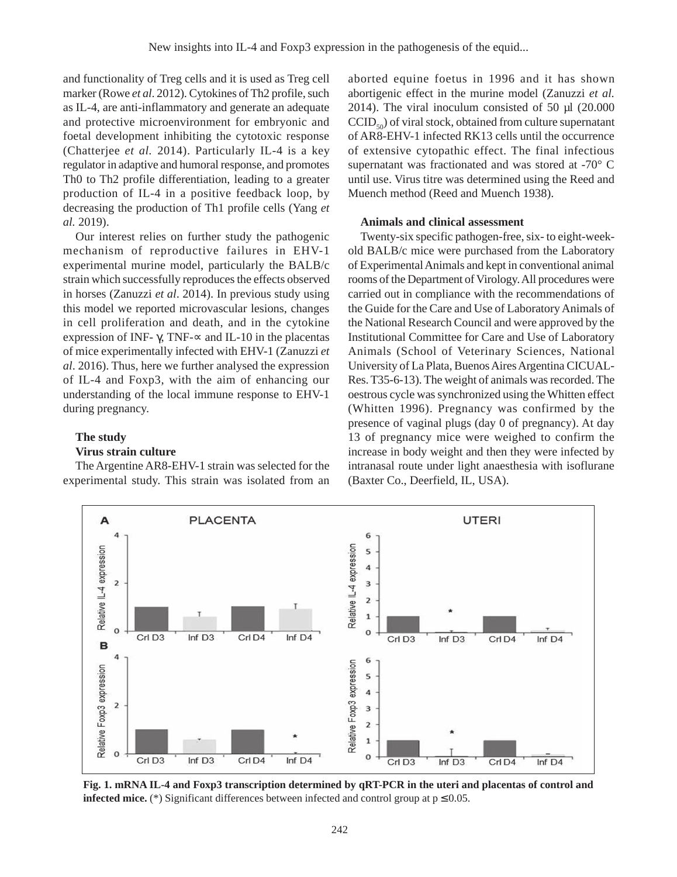and functionality of Treg cells and it is used as Treg cell marker (Rowe *et al*. 2012). Cytokines of Th2 profile, such as IL-4, are anti-inflammatory and generate an adequate and protective microenvironment for embryonic and foetal development inhibiting the cytotoxic response (Chatterjee *et al.* 2014). Particularly IL-4 is a key regulator in adaptive and humoral response, and promotes Th0 to Th2 profile differentiation, leading to a greater production of IL-4 in a positive feedback loop, by decreasing the production of Th1 profile cells (Yang *et al.* 2019).

Our interest relies on further study the pathogenic mechanism of reproductive failures in EHV-1 experimental murine model, particularly the BALB/c strain which successfully reproduces the effects observed in horses (Zanuzzi *et al*. 2014). In previous study using this model we reported microvascular lesions, changes in cell proliferation and death, and in the cytokine expression of INF- $\gamma$ , TNF- $\propto$  and IL-10 in the placentas of mice experimentally infected with EHV-1 (Zanuzzi *et al*. 2016). Thus, here we further analysed the expression of IL-4 and Foxp3, with the aim of enhancing our understanding of the local immune response to EHV-1 during pregnancy.

# **The study**

A

Relative IL-4 expression

B 4

 $\overline{a}$ 

 $\overline{\mathbf{c}}$ 

 $\mathbf 0$ 

Crl D<sub>3</sub>

# **Virus strain culture**

The Argentine AR8-EHV-1 strain was selected for the experimental study. This strain was isolated from an

Inf D<sub>3</sub>

Crl D4

Inf D4

**PLACENTA** 

aborted equine foetus in 1996 and it has shown abortigenic effect in the murine model (Zanuzzi *et al.* 2014). The viral inoculum consisted of 50  $\mu$ l (20.000)  $CCID_{50}$ ) of viral stock, obtained from culture supernatant of AR8-EHV-1 infected RK13 cells until the occurrence of extensive cytopathic effect. The final infectious supernatant was fractionated and was stored at -70° C until use. Virus titre was determined using the Reed and Muench method (Reed and Muench 1938).

### **Animals and clinical assessment**

Twenty-six specific pathogen-free, six- to eight-weekold BALB/c mice were purchased from the Laboratory of Experimental Animals and kept in conventional animal rooms of the Department of Virology. All procedures were carried out in compliance with the recommendations of the Guide for the Care and Use of Laboratory Animals of the National Research Council and were approved by the Institutional Committee for Care and Use of Laboratory Animals (School of Veterinary Sciences, National University of La Plata, Buenos Aires Argentina CICUAL-Res. T35-6-13). The weight of animals was recorded. The oestrous cycle was synchronized using the Whitten effect (Whitten 1996). Pregnancy was confirmed by the presence of vaginal plugs (day 0 of pregnancy). At day 13 of pregnancy mice were weighed to confirm the increase in body weight and then they were infected by intranasal route under light anaesthesia with isoflurane (Baxter Co., Deerfield, IL, USA).

**UTERI** 

Crl D4

Inf D4



6

5 4

3  $\overline{2}$  $\overline{\mathbf{1}}$ 

o

6

5

Crl D<sub>3</sub>

Inf D3

Relative IL-4 expression

**Fig. 1. mRNA IL-4 and Foxp3 transcription determined by qRT-PCR in the uteri and placentas of control and infected mice.** (\*) Significant differences between infected and control group at  $p \le 0.05$ .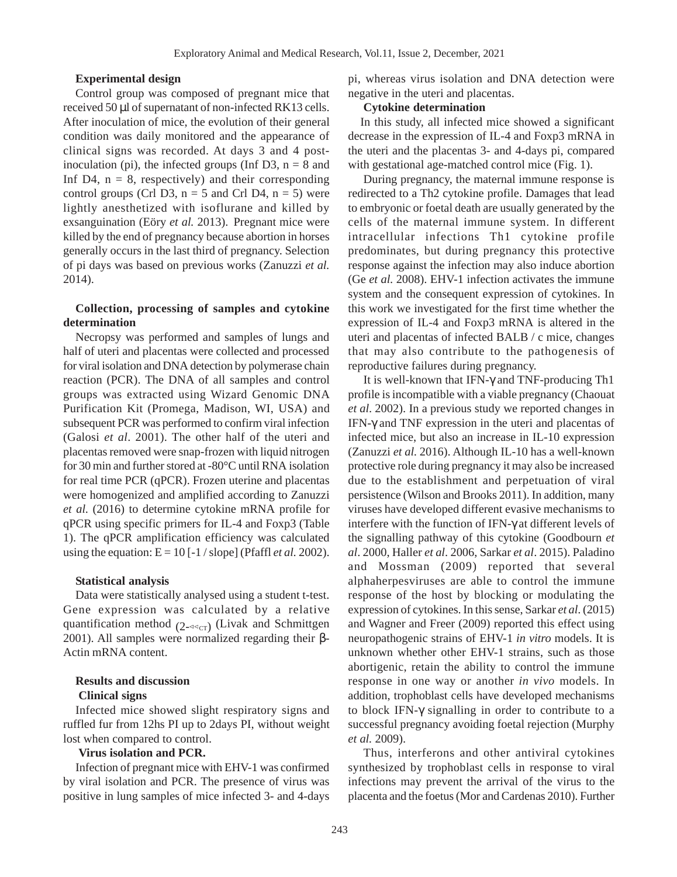# **Experimental design**

Control group was composed of pregnant mice that received 50 µl of supernatant of non-infected RK13 cells. After inoculation of mice, the evolution of their general condition was daily monitored and the appearance of clinical signs was recorded. At days 3 and 4 postinoculation (pi), the infected groups (Inf D3,  $n = 8$  and Inf D4,  $n = 8$ , respectively) and their corresponding control groups (Crl D3,  $n = 5$  and Crl D4,  $n = 5$ ) were lightly anesthetized with isoflurane and killed by exsanguination (Eöry *et al.* 2013). Pregnant mice were killed by the end of pregnancy because abortion in horses generally occurs in the last third of pregnancy. Selection of pi days was based on previous works (Zanuzzi *et al.* 2014).

# **Collection, processing of samples and cytokine determination**

Necropsy was performed and samples of lungs and half of uteri and placentas were collected and processed for viral isolation and DNA detection by polymerase chain reaction (PCR). The DNA of all samples and control groups was extracted using Wizard Genomic DNA Purification Kit (Promega, Madison, WI, USA) and subsequent PCR was performed to confirm viral infection (Galosi *et al*. 2001). The other half of the uteri and placentas removed were snap-frozen with liquid nitrogen for 30 min and further stored at -80°C until RNA isolation for real time PCR (qPCR). Frozen uterine and placentas were homogenized and amplified according to Zanuzzi *et al.* (2016) to determine cytokine mRNA profile for qPCR using specific primers for IL-4 and Foxp3 (Table 1). The qPCR amplification efficiency was calculated using the equation:  $E = 10$  [-1 / slope] (Pfaffl *et al.* 2002).

#### **Statistical analysis**

Data were statistically analysed using a student t-test. Gene expression was calculated by a relative quantification method  $(2 - 1)$  (Livak and Schmittgen 2001). All samples were normalized regarding their β-Actin mRNA content.

## **Results and discussion Clinical signs**

Infected mice showed slight respiratory signs and ruffled fur from 12hs PI up to 2days PI, without weight lost when compared to control.

## **Virus isolation and PCR.**

Infection of pregnant mice with EHV-1 was confirmed by viral isolation and PCR. The presence of virus was positive in lung samples of mice infected 3- and 4-days pi, whereas virus isolation and DNA detection were negative in the uteri and placentas.

## **Cytokine determination**

In this study, all infected mice showed a significant decrease in the expression of IL-4 and Foxp3 mRNA in the uteri and the placentas 3- and 4-days pi, compared with gestational age-matched control mice (Fig. 1).

During pregnancy, the maternal immune response is redirected to a Th2 cytokine profile. Damages that lead to embryonic or foetal death are usually generated by the cells of the maternal immune system. In different intracellular infections Th1 cytokine profile predominates, but during pregnancy this protective response against the infection may also induce abortion (Ge *et al.* 2008). EHV-1 infection activates the immune system and the consequent expression of cytokines. In this work we investigated for the first time whether the expression of IL-4 and Foxp3 mRNA is altered in the uteri and placentas of infected BALB / c mice, changes that may also contribute to the pathogenesis of reproductive failures during pregnancy.

It is well-known that IFN-γ and TNF-producing Th1 profile is incompatible with a viable pregnancy (Chaouat *et al*. 2002). In a previous study we reported changes in IFN-γ and TNF expression in the uteri and placentas of infected mice, but also an increase in IL-10 expression (Zanuzzi *et al.* 2016). Although IL-10 has a well-known protective role during pregnancy it may also be increased due to the establishment and perpetuation of viral persistence (Wilson and Brooks 2011). In addition, many viruses have developed different evasive mechanisms to interfere with the function of IFN-γ at different levels of the signalling pathway of this cytokine (Goodbourn *et al*. 2000, Haller *et al*. 2006, Sarkar *et al*. 2015). Paladino and Mossman (2009) reported that several alphaherpesviruses are able to control the immune response of the host by blocking or modulating the expression of cytokines. In this sense, Sarkar *et al*. (2015) and Wagner and Freer (2009) reported this effect using neuropathogenic strains of EHV-1 *in vitro* models. It is unknown whether other EHV-1 strains, such as those abortigenic, retain the ability to control the immune response in one way or another *in vivo* models. In addition, trophoblast cells have developed mechanisms to block IFN-γ signalling in order to contribute to a successful pregnancy avoiding foetal rejection (Murphy *et al.* 2009).

Thus, interferons and other antiviral cytokines synthesized by trophoblast cells in response to viral infections may prevent the arrival of the virus to the placenta and the foetus (Mor and Cardenas 2010). Further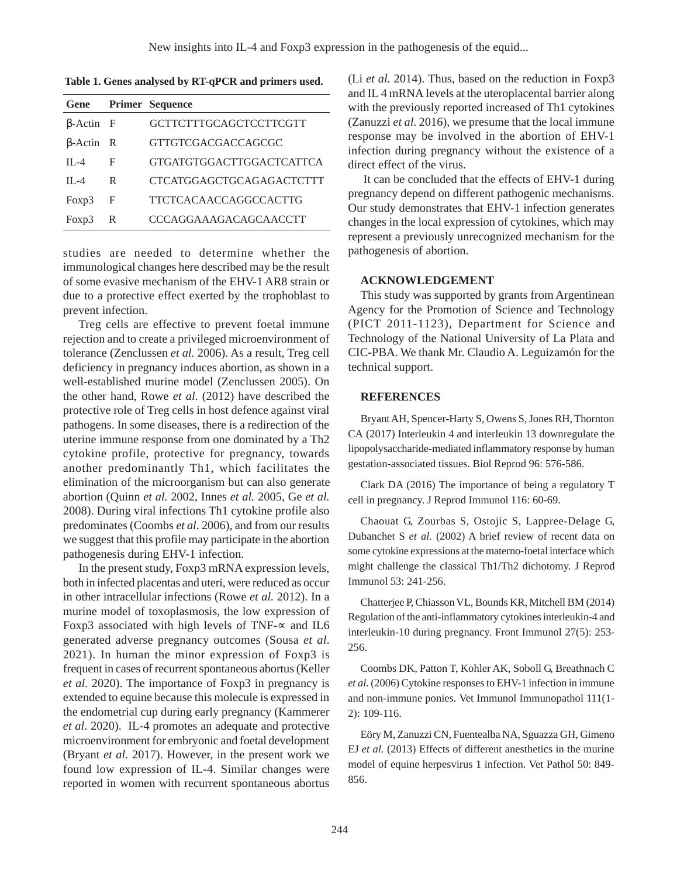**Table 1. Genes analysed by RT-qPCR and primers used.**

| Gene             |   | Primer Sequence                 |
|------------------|---|---------------------------------|
| $\beta$ -Actin F |   | GCTTCTTTGCAGCTCCTTCGTT          |
| $\beta$ -Actin R |   | GTTGTCGACGACCAGCGC              |
| $II - 4$         | F | <b>GTGATGTGGACTTGGACTCATTCA</b> |
| $II - 4$         | R | CTCATGGAGCTGCAGAGACTCTTT        |
| Foxp3            | F | TTCTCACAACCAGGCCACTTG           |
| Foxp3            | R | <b>CCCAGGAAAGACAGCAACCTT</b>    |

studies are needed to determine whether the immunological changes here described may be the result of some evasive mechanism of the EHV-1 AR8 strain or due to a protective effect exerted by the trophoblast to prevent infection.

Treg cells are effective to prevent foetal immune rejection and to create a privileged microenvironment of tolerance (Zenclussen *et al.* 2006). As a result, Treg cell deficiency in pregnancy induces abortion, as shown in a well-established murine model (Zenclussen 2005). On the other hand, Rowe *et al*. (2012) have described the protective role of Treg cells in host defence against viral pathogens. In some diseases, there is a redirection of the uterine immune response from one dominated by a Th2 cytokine profile, protective for pregnancy, towards another predominantly Th1, which facilitates the elimination of the microorganism but can also generate abortion (Quinn *et al.* 2002, Innes *et al.* 2005, Ge *et al.* 2008). During viral infections Th1 cytokine profile also predominates (Coombs *et al*. 2006), and from our results we suggest that this profile may participate in the abortion pathogenesis during EHV-1 infection.

In the present study, Foxp3 mRNA expression levels, both in infected placentas and uteri, were reduced as occur in other intracellular infections (Rowe *et al.* 2012). In a murine model of toxoplasmosis, the low expression of Foxp3 associated with high levels of TNF- $\approx$  and IL6 generated adverse pregnancy outcomes (Sousa *et al*. 2021). In human the minor expression of Foxp3 is frequent in cases of recurrent spontaneous abortus (Keller *et al*. 2020). The importance of Foxp3 in pregnancy is extended to equine because this molecule is expressed in the endometrial cup during early pregnancy (Kammerer *et al*. 2020). IL-4 promotes an adequate and protective microenvironment for embryonic and foetal development (Bryant *et al.* 2017). However, in the present work we found low expression of IL-4. Similar changes were reported in women with recurrent spontaneous abortus

(Li *et al.* 2014). Thus, based on the reduction in Foxp3 and IL 4 mRNA levels at the uteroplacental barrier along with the previously reported increased of Th1 cytokines (Zanuzzi *et al*. 2016), we presume that the local immune response may be involved in the abortion of EHV-1 infection during pregnancy without the existence of a direct effect of the virus.

It can be concluded that the effects of EHV-1 during pregnancy depend on different pathogenic mechanisms. Our study demonstrates that EHV-1 infection generates changes in the local expression of cytokines, which may represent a previously unrecognized mechanism for the pathogenesis of abortion.

# **ACKNOWLEDGEMENT**

This study was supported by grants from Argentinean Agency for the Promotion of Science and Technology (PICT 2011-1123), Department for Science and Technology of the National University of La Plata and CIC-PBA. We thank Mr. Claudio A. Leguizamón for the technical support.

## **REFERENCES**

Bryant AH, Spencer-Harty S, Owens S, Jones RH, Thornton CA (2017) Interleukin 4 and interleukin 13 downregulate the lipopolysaccharide-mediated inflammatory response by human gestation-associated tissues. Biol Reprod 96: 576-586.

Clark DA (2016) The importance of being a regulatory T cell in pregnancy. J Reprod Immunol 116: 60-69.

Chaouat G, Zourbas S, Ostojic S, Lappree-Delage G, Dubanchet S *et al.* (2002) A brief review of recent data on some cytokine expressions at the materno-foetal interface which might challenge the classical Th1/Th2 dichotomy. J Reprod Immunol 53: 241-256.

Chatterjee P, Chiasson VL, Bounds KR, Mitchell BM (2014) Regulation of the anti-inflammatory cytokines interleukin-4 and interleukin-10 during pregnancy. Front Immunol 27(5): 253- 256.

Coombs DK, Patton T, Kohler AK, Soboll G, Breathnach C *et al.* (2006) Cytokine responses to EHV-1 infection in immune and non-immune ponies. Vet Immunol Immunopathol 111(1-2): 109-116.

Eöry M, Zanuzzi CN, Fuentealba NA, Sguazza GH, Gimeno EJ *et al.* (2013) Effects of different anesthetics in the murine model of equine herpesvirus 1 infection. Vet Pathol 50: 849- 856.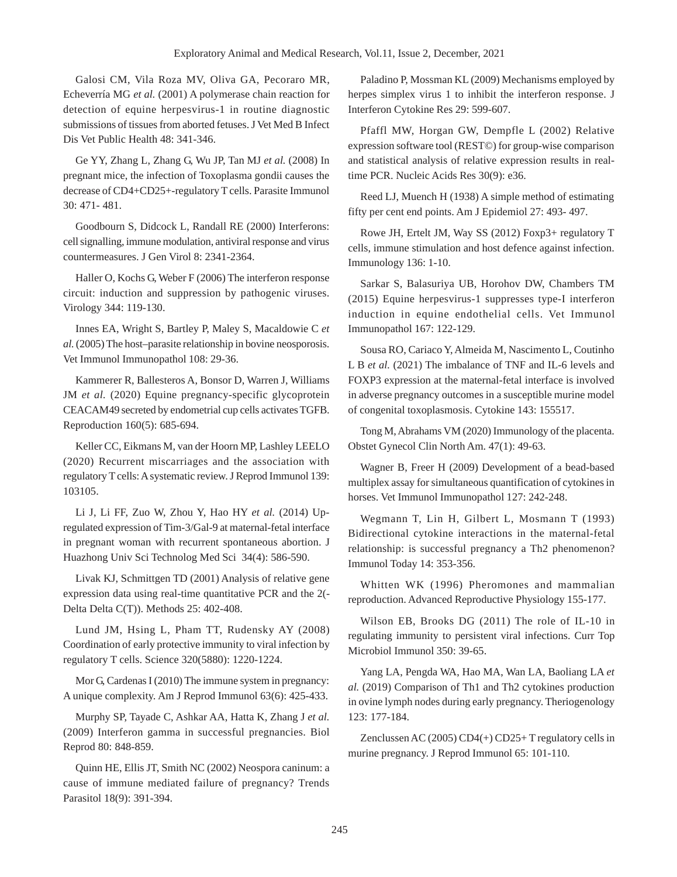Galosi CM, Vila Roza MV, Oliva GA, Pecoraro MR, Echeverría MG *et al.* (2001) A polymerase chain reaction for detection of equine herpesvirus-1 in routine diagnostic submissions of tissues from aborted fetuses. J Vet Med B Infect Dis Vet Public Health 48: 341-346.

Ge YY, Zhang L, Zhang G, Wu JP, Tan MJ *et al.* (2008) In pregnant mice, the infection of Toxoplasma gondii causes the decrease of CD4+CD25+-regulatory T cells. Parasite Immunol 30: 471- 481.

Goodbourn S, Didcock L, Randall RE (2000) Interferons: cell signalling, immune modulation, antiviral response and virus countermeasures. J Gen Virol 8: 2341-2364.

Haller O, Kochs G, Weber F (2006) The interferon response circuit: induction and suppression by pathogenic viruses. Virology 344: 119-130.

Innes EA, Wright S, Bartley P, Maley S, Macaldowie C *et al.* (2005) The host–parasite relationship in bovine neosporosis. Vet Immunol Immunopathol 108: 29-36.

Kammerer R, Ballesteros A, Bonsor D, Warren J, Williams JM *et al.* (2020) Equine pregnancy-specific glycoprotein CEACAM49 secreted by endometrial cup cells activates TGFB. Reproduction 160(5): 685-694.

Keller CC, Eikmans M, van der Hoorn MP, Lashley LEELO (2020) Recurrent miscarriages and the association with regulatory T cells: A systematic review. J Reprod Immunol 139: 103105.

Li J, Li FF, Zuo W, Zhou Y, Hao HY *et al.* (2014) Upregulated expression of Tim-3/Gal-9 at maternal-fetal interface in pregnant woman with recurrent spontaneous abortion. J Huazhong Univ Sci Technolog Med Sci 34(4): 586-590.

Livak KJ, Schmittgen TD (2001) Analysis of relative gene expression data using real-time quantitative PCR and the 2(- Delta Delta C(T)). Methods 25: 402-408.

Lund JM, Hsing L, Pham TT, Rudensky AY (2008) Coordination of early protective immunity to viral infection by regulatory T cells. Science 320(5880): 1220-1224.

Mor G, Cardenas I (2010) The immune system in pregnancy: A unique complexity. Am J Reprod Immunol 63(6): 425-433.

Murphy SP, Tayade C, Ashkar AA, Hatta K, Zhang J *et al.* (2009) Interferon gamma in successful pregnancies. Biol Reprod 80: 848-859.

Quinn HE, Ellis JT, Smith NC (2002) Neospora caninum: a cause of immune mediated failure of pregnancy? Trends Parasitol 18(9): 391-394.

Paladino P, Mossman KL (2009) Mechanisms employed by herpes simplex virus 1 to inhibit the interferon response. J Interferon Cytokine Res 29: 599-607.

Pfaffl MW, Horgan GW, Dempfle L (2002) Relative expression software tool (REST©) for group-wise comparison and statistical analysis of relative expression results in realtime PCR. Nucleic Acids Res 30(9): e36.

Reed LJ, Muench H (1938) A simple method of estimating fifty per cent end points. Am J Epidemiol 27: 493- 497.

Rowe JH, Ertelt JM, Way SS (2012) Foxp3+ regulatory T cells, immune stimulation and host defence against infection. Immunology 136: 1-10.

Sarkar S, Balasuriya UB, Horohov DW, Chambers TM (2015) Equine herpesvirus-1 suppresses type-I interferon induction in equine endothelial cells. Vet Immunol Immunopathol 167: 122-129.

Sousa RO, Cariaco Y, Almeida M, Nascimento L, Coutinho L B *et al.* (2021) The imbalance of TNF and IL-6 levels and FOXP3 expression at the maternal-fetal interface is involved in adverse pregnancy outcomes in a susceptible murine model of congenital toxoplasmosis. Cytokine 143: 155517.

Tong M, Abrahams VM (2020) Immunology of the placenta. Obstet Gynecol Clin North Am. 47(1): 49-63.

Wagner B, Freer H (2009) Development of a bead-based multiplex assay for simultaneous quantification of cytokines in horses. Vet Immunol Immunopathol 127: 242-248.

Wegmann T, Lin H, Gilbert L, Mosmann T (1993) Bidirectional cytokine interactions in the maternal-fetal relationship: is successful pregnancy a Th2 phenomenon? Immunol Today 14: 353-356.

Whitten WK (1996) Pheromones and mammalian reproduction. Advanced Reproductive Physiology 155-177.

Wilson EB, Brooks DG (2011) The role of IL-10 in regulating immunity to persistent viral infections. Curr Top Microbiol Immunol 350: 39-65.

Yang LA, Pengda WA, Hao MA, Wan LA, Baoliang LA *et al.* (2019) Comparison of Th1 and Th2 cytokines production in ovine lymph nodes during early pregnancy. Theriogenology 123: 177-184.

Zenclussen AC (2005) CD4(+) CD25+ T regulatory cells in murine pregnancy. J Reprod Immunol 65: 101-110.